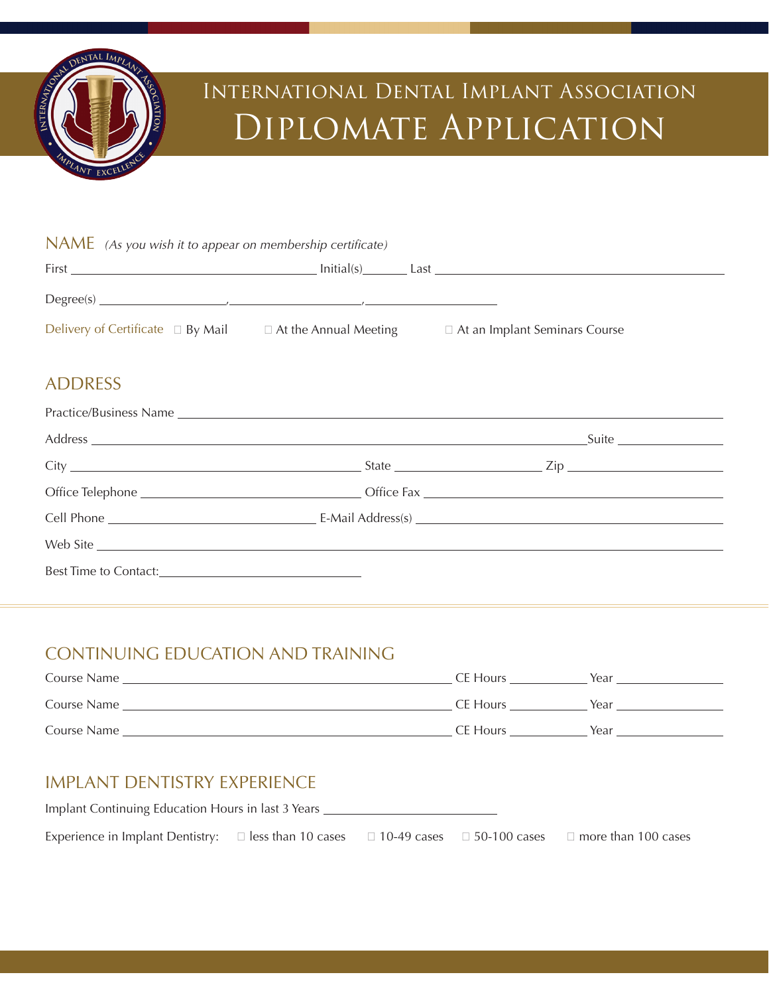

# International Dental Implant Association Diplomate Application

| NAME (As you wish it to appear on membership certificate)           |                                                          |  |
|---------------------------------------------------------------------|----------------------------------------------------------|--|
|                                                                     | $\text{Initial(s)}$ $\qquad \qquad$ Last $\qquad \qquad$ |  |
| $Degree(s)$ $\qquad \qquad \qquad$                                  |                                                          |  |
| Delivery of Certificate $\Box$ By Mail $\Box$ At the Annual Meeting | $\Box$ At an Implant Seminars Course                     |  |

### ADDRESS

| Web Site |  |  |
|----------|--|--|
|          |  |  |

## CONTINUING EDUCATION AND TRAINING

| Course Name | CE Hours | Year |
|-------------|----------|------|
| Course Name | CE Hours | Year |
| Course Name | CE Hours | Year |

## IMPLANT DENTISTRY EXPERIENCE

| Implant Continuing Education Hours in last 3 Years                                                |  |  |  |                            |  |
|---------------------------------------------------------------------------------------------------|--|--|--|----------------------------|--|
| Experience in Implant Dentistry: $\Box$ less than 10 cases $\Box$ 10-49 cases $\Box$ 50-100 cases |  |  |  | $\Box$ more than 100 cases |  |